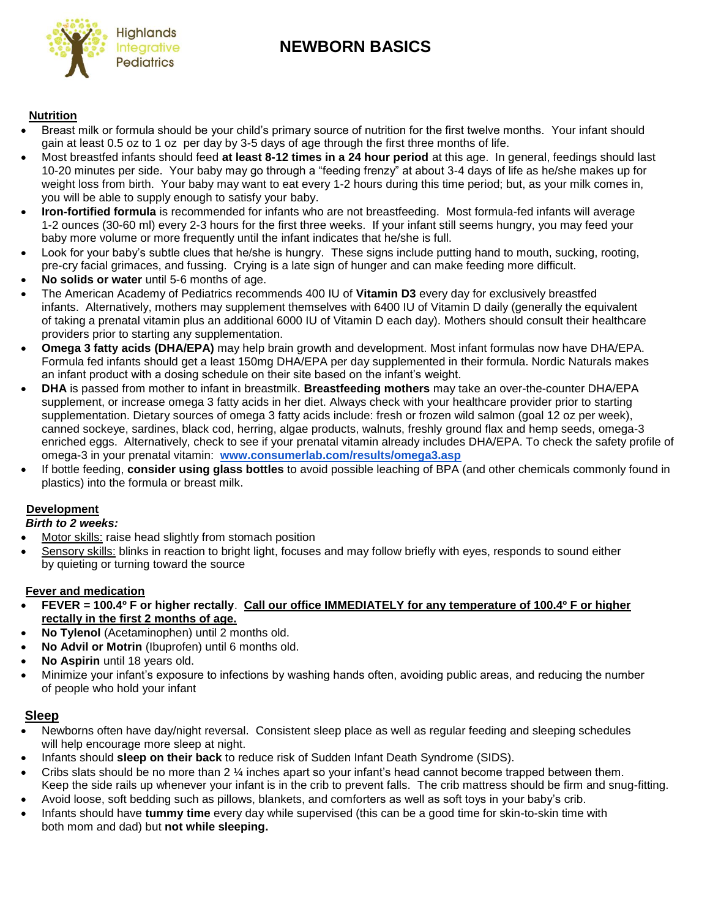# **Integrative MEWBORN BASICS**



### **Nutrition**

- Breast milk or formula should be your child's primary source of nutrition for the first twelve months. Your infant should gain at least 0.5 oz to 1 oz per day by 3-5 days of age through the first three months of life.
- Most breastfed infants should feed **at least 8-12 times in a 24 hour period** at this age. In general, feedings should last 10-20 minutes per side. Your baby may go through a "feeding frenzy" at about 3-4 days of life as he/she makes up for weight loss from birth. Your baby may want to eat every 1-2 hours during this time period; but, as your milk comes in, you will be able to supply enough to satisfy your baby.
- **Iron-fortified formula** is recommended for infants who are not breastfeeding. Most formula-fed infants will average 1-2 ounces (30-60 ml) every 2-3 hours for the first three weeks. If your infant still seems hungry, you may feed your baby more volume or more frequently until the infant indicates that he/she is full.
- Look for your baby's subtle clues that he/she is hungry. These signs include putting hand to mouth, sucking, rooting, pre-cry facial grimaces, and fussing. Crying is a late sign of hunger and can make feeding more difficult.
- **No solids or water** until 5-6 months of age.
- The American Academy of Pediatrics recommends 400 IU of **Vitamin D3** every day for exclusively breastfed infants. Alternatively, mothers may supplement themselves with 6400 IU of Vitamin D daily (generally the equivalent of taking a prenatal vitamin plus an additional 6000 IU of Vitamin D each day). Mothers should consult their healthcare providers prior to starting any supplementation.
- **Omega 3 fatty acids (DHA/EPA)** may help brain growth and development. Most infant formulas now have DHA/EPA. Formula fed infants should get a least 150mg DHA/EPA per day supplemented in their formula. Nordic Naturals makes an infant product with a dosing schedule on their site based on the infant's weight.
- **DHA** is passed from mother to infant in breastmilk. **Breastfeeding mothers** may take an over-the-counter DHA/EPA supplement, or increase omega 3 fatty acids in her diet. Always check with your healthcare provider prior to starting supplementation. Dietary sources of omega 3 fatty acids include: fresh or frozen wild salmon (goal 12 oz per week), canned sockeye, sardines, black cod, herring, algae products, walnuts, freshly ground flax and hemp seeds, omega-3 enriched eggs. Alternatively, check to see if your prenatal vitamin already includes DHA/EPA. To check the safety profile of omega-3 in your prenatal vitamin: **[www.consumerlab.com/results/omega3.asp](http://www.consumerlab.com/results/omega3.asp)**
- If bottle feeding, **consider using glass bottles** to avoid possible leaching of BPA (and other chemicals commonly found in plastics) into the formula or breast milk.

## **Development**

#### *Birth to 2 weeks:*

- Motor skills: raise head slightly from stomach position
- Sensory skills: blinks in reaction to bright light, focuses and may follow briefly with eyes, responds to sound either by quieting or turning toward the source

#### **Fever and medication**

- **FEVER = 100.4º F or higher rectally**. **Call our office IMMEDIATELY for any temperature of 100.4º F or higher rectally in the first 2 months of age.**
- **No Tylenol** (Acetaminophen) until 2 months old.
- **No Advil or Motrin** (Ibuprofen) until 6 months old.
- **No Aspirin** until 18 years old.
- Minimize your infant's exposure to infections by washing hands often, avoiding public areas, and reducing the number of people who hold your infant

## **Sleep**

- Newborns often have day/night reversal. Consistent sleep place as well as regular feeding and sleeping schedules will help encourage more sleep at night.
- Infants should **sleep on their back** to reduce risk of Sudden Infant Death Syndrome (SIDS).
- Cribs slats should be no more than 2 ¼ inches apart so your infant's head cannot become trapped between them. Keep the side rails up whenever your infant is in the crib to prevent falls. The crib mattress should be firm and snug-fitting.
- Avoid loose, soft bedding such as pillows, blankets, and comforters as well as soft toys in your baby's crib.
- Infants should have **tummy time** every day while supervised (this can be a good time for skin-to-skin time with both mom and dad) but **not while sleeping.**